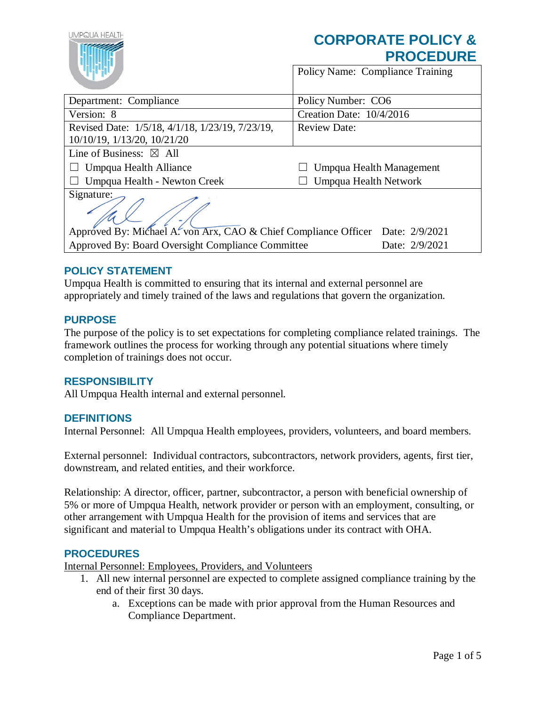| LIMPOLIA HEAL                                                                  | <b>CORPORATE POLICY &amp;</b><br><b>PROCEDURE</b> |  |  |
|--------------------------------------------------------------------------------|---------------------------------------------------|--|--|
|                                                                                | Policy Name: Compliance Training                  |  |  |
| Department: Compliance                                                         | Policy Number: CO6                                |  |  |
| Version: 8                                                                     | Creation Date: 10/4/2016                          |  |  |
| Revised Date: 1/5/18, 4/1/18, 1/23/19, 7/23/19,                                | <b>Review Date:</b>                               |  |  |
| 10/10/19, 1/13/20, 10/21/20                                                    |                                                   |  |  |
| Line of Business: $\boxtimes$ All                                              |                                                   |  |  |
| Umpqua Health Alliance                                                         | Umpqua Health Management                          |  |  |
| Umpqua Health - Newton Creek                                                   | Umpqua Health Network                             |  |  |
| Signature:                                                                     |                                                   |  |  |
| Approved By: Michael A. von Arx, CAO & Chief Compliance Officer Date: 2/9/2021 |                                                   |  |  |
| Approved By: Board Oversight Compliance Committee                              | Date: 2/9/2021                                    |  |  |

## **POLICY STATEMENT**

Umpqua Health is committed to ensuring that its internal and external personnel are appropriately and timely trained of the laws and regulations that govern the organization.

### **PURPOSE**

The purpose of the policy is to set expectations for completing compliance related trainings. The framework outlines the process for working through any potential situations where timely completion of trainings does not occur.

#### **RESPONSIBILITY**

All Umpqua Health internal and external personnel.

### **DEFINITIONS**

Internal Personnel: All Umpqua Health employees, providers, volunteers, and board members.

External personnel: Individual contractors, subcontractors, network providers, agents, first tier, downstream, and related entities, and their workforce.

Relationship: A director, officer, partner, subcontractor, a person with beneficial ownership of 5% or more of Umpqua Health, network provider or person with an employment, consulting, or other arrangement with Umpqua Health for the provision of items and services that are significant and material to Umpqua Health's obligations under its contract with OHA.

#### **PROCEDURES**

Internal Personnel: Employees, Providers, and Volunteers

- 1. All new internal personnel are expected to complete assigned compliance training by the end of their first 30 days.
	- a. Exceptions can be made with prior approval from the Human Resources and Compliance Department.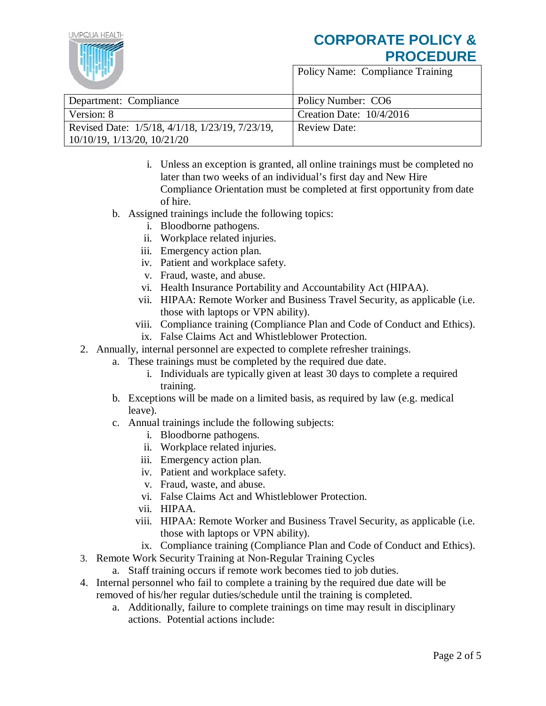## **CORPORATE POLICY & PROCEDURE**

IMPOUA HEALTH

Policy Name: Compliance Training

| Department: Compliance                          | Policy Number: CO6       |
|-------------------------------------------------|--------------------------|
| Version: 8                                      | Creation Date: 10/4/2016 |
| Revised Date: 1/5/18, 4/1/18, 1/23/19, 7/23/19, | Review Date:             |
| $10/10/19$ , $1/13/20$ , $10/21/20$             |                          |

- i. Unless an exception is granted, all online trainings must be completed no later than two weeks of an individual's first day and New Hire Compliance Orientation must be completed at first opportunity from date of hire.
- b. Assigned trainings include the following topics:
	- i. Bloodborne pathogens.
	- ii. Workplace related injuries.
	- iii. Emergency action plan.
	- iv. Patient and workplace safety.
	- v. Fraud, waste, and abuse.
	- vi. Health Insurance Portability and Accountability Act (HIPAA).
	- vii. HIPAA: Remote Worker and Business Travel Security, as applicable (i.e. those with laptops or VPN ability).
	- viii. Compliance training (Compliance Plan and Code of Conduct and Ethics).
	- ix. False Claims Act and Whistleblower Protection.
- 2. Annually, internal personnel are expected to complete refresher trainings.
	- a. These trainings must be completed by the required due date.
		- i. Individuals are typically given at least 30 days to complete a required training.
		- b. Exceptions will be made on a limited basis, as required by law (e.g. medical leave).
		- c. Annual trainings include the following subjects:
			- i. Bloodborne pathogens.
			- ii. Workplace related injuries.
			- iii. Emergency action plan.
			- iv. Patient and workplace safety.
			- v. Fraud, waste, and abuse.
			- vi. False Claims Act and Whistleblower Protection.
			- vii. HIPAA.
			- viii. HIPAA: Remote Worker and Business Travel Security, as applicable (i.e. those with laptops or VPN ability).
			- ix. Compliance training (Compliance Plan and Code of Conduct and Ethics).
- 3. Remote Work Security Training at Non-Regular Training Cycles
	- a. Staff training occurs if remote work becomes tied to job duties.
- 4. Internal personnel who fail to complete a training by the required due date will be removed of his/her regular duties/schedule until the training is completed.
	- a. Additionally, failure to complete trainings on time may result in disciplinary actions. Potential actions include: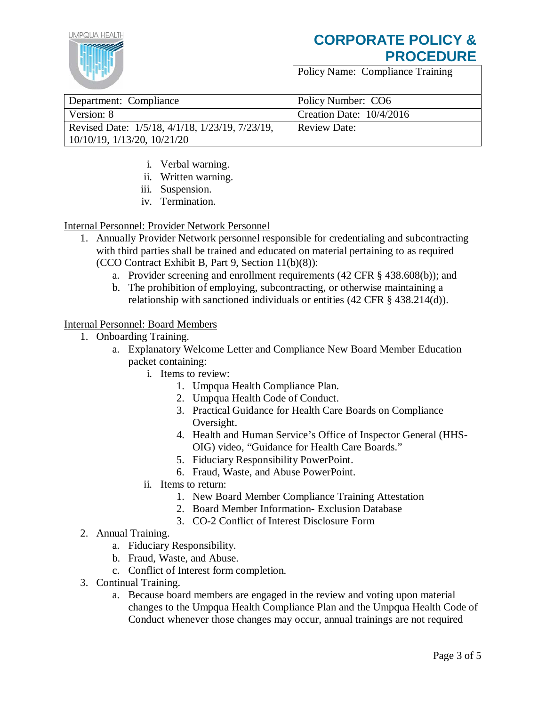

# **CORPORATE POLICY & PROCEDURE**

Policy Name: Compliance Training

| Department: Compliance                          | Policy Number: CO6       |
|-------------------------------------------------|--------------------------|
| Version: 8                                      | Creation Date: 10/4/2016 |
| Revised Date: 1/5/18, 4/1/18, 1/23/19, 7/23/19, | Review Date:             |
| 10/10/19, 1/13/20, 10/21/20                     |                          |

- i. Verbal warning.
- ii. Written warning.
- iii. Suspension.
- iv. Termination.

#### Internal Personnel: Provider Network Personnel

- 1. Annually Provider Network personnel responsible for credentialing and subcontracting with third parties shall be trained and educated on material pertaining to as required (CCO Contract Exhibit B, Part 9, Section 11(b)(8)):
	- a. Provider screening and enrollment requirements (42 CFR § 438.608(b)); and
	- b. The prohibition of employing, subcontracting, or otherwise maintaining a relationship with sanctioned individuals or entities (42 CFR § 438.214(d)).

#### Internal Personnel: Board Members

- 1. Onboarding Training.
	- a. Explanatory Welcome Letter and Compliance New Board Member Education packet containing:
		- i. Items to review:
			- 1. Umpqua Health Compliance Plan.
			- 2. Umpqua Health Code of Conduct.
			- 3. Practical Guidance for Health Care Boards on Compliance Oversight.
			- 4. Health and Human Service's Office of Inspector General (HHS-OIG) video, "Guidance for Health Care Boards."
			- 5. Fiduciary Responsibility PowerPoint.
			- 6. Fraud, Waste, and Abuse PowerPoint.
		- ii. Items to return:
			- 1. New Board Member Compliance Training Attestation
			- 2. Board Member Information- Exclusion Database
			- 3. CO-2 Conflict of Interest Disclosure Form
- 2. Annual Training.
	- a. Fiduciary Responsibility.
	- b. Fraud, Waste, and Abuse.
	- c. Conflict of Interest form completion.
- 3. Continual Training.
	- a. Because board members are engaged in the review and voting upon material changes to the Umpqua Health Compliance Plan and the Umpqua Health Code of Conduct whenever those changes may occur, annual trainings are not required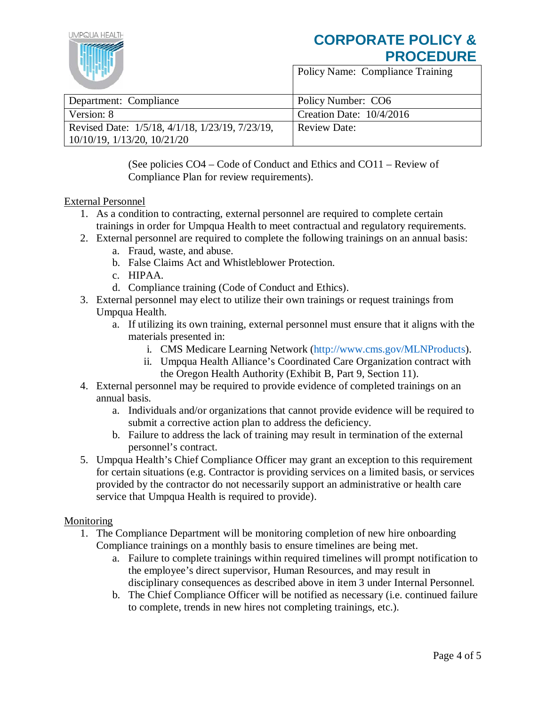

# **CORPORATE POLICY & PROCEDURE**

Policy Name: Compliance Training

| Department: Compliance                          | Policy Number: CO6         |
|-------------------------------------------------|----------------------------|
| Version: 8                                      | Creation Date: $10/4/2016$ |
| Revised Date: 1/5/18, 4/1/18, 1/23/19, 7/23/19, | Review Date:               |
| $10/10/19$ , $1/13/20$ , $10/21/20$             |                            |

(See policies CO4 – Code of Conduct and Ethics and CO11 – Review of Compliance Plan for review requirements).

#### External Personnel

- 1. As a condition to contracting, external personnel are required to complete certain trainings in order for Umpqua Health to meet contractual and regulatory requirements.
- 2. External personnel are required to complete the following trainings on an annual basis:
	- a. Fraud, waste, and abuse.
	- b. False Claims Act and Whistleblower Protection.
	- c. HIPAA.
	- d. Compliance training (Code of Conduct and Ethics).
- 3. External personnel may elect to utilize their own trainings or request trainings from Umpqua Health.
	- a. If utilizing its own training, external personnel must ensure that it aligns with the materials presented in:
		- i. CMS Medicare Learning Network [\(http://www.cms.gov/MLNProducts\)](http://www.cms.gov/MLNProducts).
		- ii. Umpqua Health Alliance's Coordinated Care Organization contract with the Oregon Health Authority (Exhibit B, Part 9, Section 11).
- 4. External personnel may be required to provide evidence of completed trainings on an annual basis.
	- a. Individuals and/or organizations that cannot provide evidence will be required to submit a corrective action plan to address the deficiency.
	- b. Failure to address the lack of training may result in termination of the external personnel's contract.
- 5. Umpqua Health's Chief Compliance Officer may grant an exception to this requirement for certain situations (e.g. Contractor is providing services on a limited basis, or services provided by the contractor do not necessarily support an administrative or health care service that Umpqua Health is required to provide).

#### Monitoring

- 1. The Compliance Department will be monitoring completion of new hire onboarding Compliance trainings on a monthly basis to ensure timelines are being met.
	- a. Failure to complete trainings within required timelines will prompt notification to the employee's direct supervisor, Human Resources, and may result in disciplinary consequences as described above in item 3 under Internal Personnel.
	- b. The Chief Compliance Officer will be notified as necessary (i.e. continued failure to complete, trends in new hires not completing trainings, etc.).